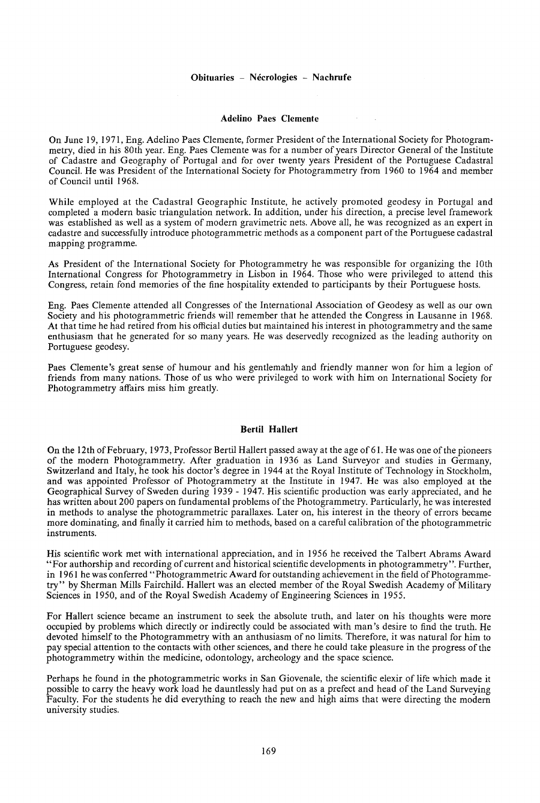## **Adelino** Paes **Clemente**

On June 19, 1971, Eng. Adelino Paes Clemente, former President of the International Society for Photogrammetry, died in his 80th year. Eng. Paes Clemente was for a number of years Director General of the Institute of Cadastre and Geography of Portugal and for over twenty years President of the Portuguese Cadastral Council. He was President of the International Society for Photogrammetry from 1960 to 1964 and member of Council until 1968.

While employed at the Cadastral Geographic Institute, he actively promoted geodesy in Portugal and completed a modern basic triangulation network. In addition, under his direction, a precise level framework was established as well as a system of modern gravimetric nets. Above all, he was recognized as an expert in cadastre and successfully introduce photogrammetric methods as a component part of the Portuguese cadastral mapping programme.

As President of the International Society for Photogrammetry he was responsible for organizing the lOth International Congress for Photogrammetry in Lisbon in 1964. Those who were privileged to attend this Congress, retain fond memories of the fine hospitality extended to participants by their Portuguese hosts.

Eng. Paes Clemente attended all Congresses of the International Association of Geodesy as well as our own Society and his photogrammetric friends will remember that he attended the Congress in Lausanne in 1968. At that time he had retired from his official duties but maintained his interest in photogrammetry and the same enthusiasm that he generated for so many years. He was deservedly recognized as the leading authority on Portuguese geodesy.

Paes Clemente's great sense of humour and his gentlemahly and friendly manner won for him a legion of friends from many nations. Those of us who were privileged to work with him on International Society for Photogrammetry affairs miss him greatly.

## **Bertil Hallert**

On the 12th of February, 1973, Professor Bertil Hallert passed away at the age of 61. He was one of the pioneers of the modern Photogrammetry. After graduation in 1936 as Land Surveyor and studies in Germany, Switzerland and Italy, he took his doctor's degree in 1944 at the Royal Institute of Technology in Stockholm, and was appointed Professor of Photogrammetry at the Institute in 1947. He was also employed at the Geographical Survey of Sweden during 1939 - 1947. His scientific production was early appreciated, and he has written about 200 papers on fundamental problems of the Photogrammetry. Particularly, he was interested in methods to analyse the photogrammetric parallaxes. Later on, his interest in the theory of errors became more dominating, and finally it carried him to methods, based on a careful calibration of the photogrammetric instruments.

His scientific work met with international appreciation, and in 1956 he received the Talbert Abrams Award "For authorship and recording of current and historical scientific developments in photogrammetry". Further, in 1961 he was conferred "Photogrammetric Award for outstanding achievement in the field of Photogrammetry" by Sherman Mills Fairchild. Hallert was an elected member of the Royal Swedish Academy of Military Sciences in 1950, and of the Royal Swedish Academy of Engineering Sciences in 1955.

For Hallert science became an instrument to seek the absolute truth, and later on his thoughts were more occupied by problems which directly or indirectly could be associated with man's desire to find the truth. He devoted himself to the Photogrammetry with an anthusiasm of no limits. Therefore, it was natural for him to pay special attention to the contacts with other sciences, and there he could take pleasure in the progress of the photogrammetry within the medicine, odontology, archeology and the space science.

Perhaps he found in the photogrammetric works in San Giovenale, the scientific elexir of life which made it possible to carry the heavy work load he dauntlessly had put on as a prefect and head of the Land Surveying Faculty. For the students he did everything to reach the new and high aims that were directing the modern university studies.